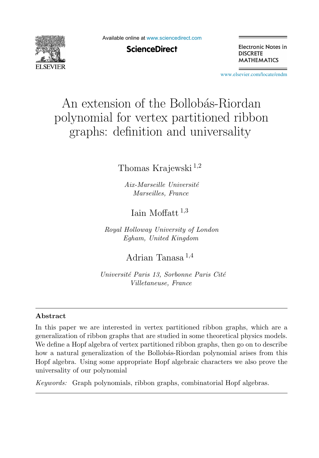

Available online at [www.sciencedirect.com](http://www.sciencedirect.com)

**ScienceDirect** 

Electronic Notes in **DISCRETE MATHEMATICS** 

[www.elsevier.com/locate/endm](http://www.elsevier.com/locate/endm)

# An extension of the Bollobás-Riordan polynomial for vertex partitioned ribbon graphs: definition and universality

# Thomas Krajewski <sup>1</sup>,<sup>2</sup>

*Aix-Marseille Universit´e Marseilles, France*

Iain Moffatt  $1,3$ 

*Royal Holloway University of London Egham, United Kingdom*

Adrian Tanasa <sup>1</sup>,<sup>4</sup>

*Universit´e Paris 13, Sorbonne Paris Cit´e Villetaneuse, France*

#### **Abstract**

In this paper we are interested in vertex partitioned ribbon graphs, which are a generalization of ribbon graphs that are studied in some theoretical physics models. We define a Hopf algebra of vertex partitioned ribbon graphs, then go on to describe how a natural generalization of the Bollobás-Riordan polynomial arises from this Hopf algebra. Using some appropriate Hopf algebraic characters we also prove the universality of our polynomial

*Keywords:* Graph polynomials, ribbon graphs, combinatorial Hopf algebras.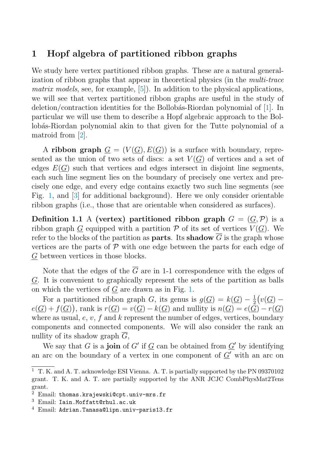## **1 Hopf algebra of partitioned ribbon graphs**

We study here vertex partitioned ribbon graphs. These are a natural generalization of ribbon graphs that appear in theoretical physics (in the multi-trace matrix models, see, for example,  $[5]$ . In addition to the physical applications, we will see that vertex partitioned ribbon graphs are useful in the study of deletion/contraction identities for the Bollobás-Riordan polynomial of  $[1]$ . In particular we will use them to describe a Hopf algebraic approach to the Bollobás-Riordan polynomial akin to that given for the Tutte polynomial of a matroid from [\[2\]](#page-7-0).

A **ribbon graph**  $G = (V(G), E(G))$  is a surface with boundary, represented as the union of two sets of discs: a set  $V(G)$  of vertices and a set of edges  $E(G)$  such that vertices and edges intersect in disjoint line segments, each such line segment lies on the boundary of precisely one vertex and precisely one edge, and every edge contains exactly two such line segments (see Fig. [1,](#page-2-0) and [\[3\]](#page-7-0) for additional background). Here we only consider orientable ribbon graphs (i.e., those that are orientable when considered as surfaces).

**Definition 1.1** A **(vertex)** partitioned ribbon graph  $G = (G, \mathcal{P})$  is a ribbon graph G equipped with a partition  $P$  of its set of vertices  $V(G)$ . We refer to the blocks of the partition as **parts**. Its **shadow**  $\overline{G}$  is the graph whose vertices are the parts of  $\mathcal P$  with one edge between the parts for each edge of G between vertices in those blocks.

Note that the edges of the  $\overline{G}$  are in 1-1 correspondence with the edges of G. It is convenient to graphically represent the sets of the partition as balls on which the vertices of  $G$  are drawn as in Fig. [1.](#page-2-0)

For a partitioned ribbon graph G, its genus is  $g(\underline{G}) = k(\underline{G}) - \frac{1}{2}(v(\underline{G})$  $e(\underline{G}) + f(\underline{G})$ , rank is  $r(\underline{G}) = v(\underline{G}) - k(\underline{G})$  and nullity is  $n(\underline{G}) = e(\underline{\tilde{G}}) - r(\underline{G})$ where as usual,  $e, v, f$  and  $k$  represent the number of edges, vertices, boundary components and connected components. We will also consider the rank an nullity of its shadow graph  $\overline{G}$ ,

We say that G is a **join** of G' if  $G$  can be obtained from  $G'$  by identifying an arc on the boundary of a vertex in one component of  $\underline{G}^{\prime}$  with an arc on

<sup>1</sup> T. K. and A. T. acknowledge ESI Vienna. A. T. is partially supported by the PN 09370102 grant. T. K. and A. T. are partially supported by the ANR JCJC CombPhysMat2Tens grant.

 $2$  Email: thomas.krajewski@cpt.univ-mrs.fr

<sup>3</sup> Email: Iain.Moffatt@rhul.ac.uk

 $4$  Email: Adrian.Tanasa@lipn.univ-paris13.fr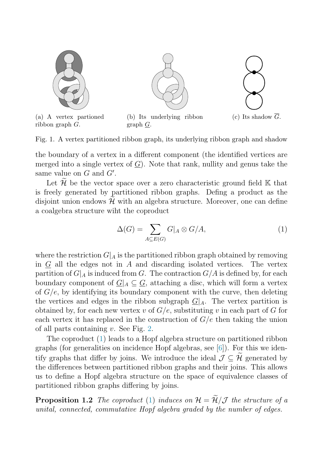<span id="page-2-0"></span>

Fig. 1. A vertex partitioned ribbon graph, its underlying ribbon graph and shadow

the boundary of a vertex in a different component (the identified vertices are merged into a single vertex of  $G$ ). Note that rank, nullity and genus take the same value on  $G$  and  $G'$ .

Let  $\widetilde{\mathcal{H}}$  be the vector space over a zero characteristic ground field K that is freely generated by partitioned ribbon graphs. Defing a product as the disjoint union endows  $\mathcal{H}$  with an algebra structure. Moreover, one can define a coalgebra structure wiht the coproduct

$$
\Delta(G) = \sum_{A \subseteq E(G)} G|_A \otimes G/A,\tag{1}
$$

where the restriction  $G|_A$  is the partitioned ribbon graph obtained by removing<br>in G all the edges not in A and discarding isolated vertices. The vertex in  $G$  all the edges not in  $A$  and discarding isolated vertices. partition of  $G|_A$  is induced from G. The contraction  $G/A$  is defined by, for each boundary component of  $G|_A \subseteq G$ , attaching a disc, which will form a vertex of  $G/e$ , by identifying its boundary component with the curve, then deleting the vertices and edges in the ribbon subgraph  $G|_A$ . The vertex partition is obtained by, for each new vertex  $v$  of  $G/e$ , substituting  $v$  in each part of  $G$  for each vertex it has replaced in the construction of  $G/e$  then taking the union of all parts containing v. See Fig. [2.](#page-3-0)

The coproduct (1) leads to a Hopf algebra structure on partitioned ribbon graphs (for generalities on incidence Hopf algebras, see [\[6\]](#page-7-0)). For this we identify graphs that differ by joins. We introduce the ideal  $\mathcal{J} \subseteq \widetilde{\mathcal{H}}$  generated by the differences between partitioned ribbon graphs and their joins. This allows us to define a Hopf algebra structure on the space of equivalence classes of partitioned ribbon graphs differing by joins.

**Proposition 1.2** The coproduct (1) induces on  $\mathcal{H} = \widetilde{\mathcal{H}}/\mathcal{J}$  the structure of a unital, connected, commutative Hopf algebra graded by the number of edges.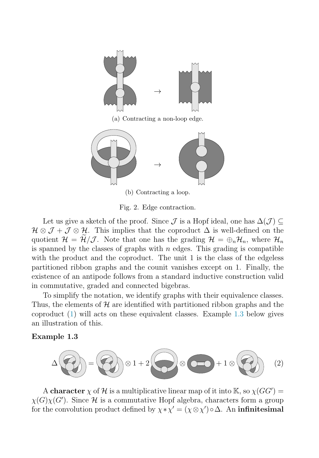<span id="page-3-0"></span>

(a) Contracting a non-loop edge.



Fig. 2. Edge contraction.

Let us give a sketch of the proof. Since  $\mathcal J$  is a Hopf ideal, one has  $\Delta(\mathcal J) \subseteq$  $\mathcal{H}\otimes\mathcal{J}+\mathcal{J}\otimes\mathcal{H}$ . This implies that the coproduct  $\Delta$  is well-defined on the quotient  $\mathcal{H} = \mathcal{H}/\mathcal{J}$ . Note that one has the grading  $\mathcal{H} = \bigoplus_{n} \mathcal{H}_n$ , where  $\mathcal{H}_n$ is spanned by the classes of graphs with  $n$  edges. This grading is compatible with the product and the coproduct. The unit 1 is the class of the edgeless partitioned ribbon graphs and the counit vanishes except on 1. Finally, the existence of an antipode follows from a standard inductive construction valid in commutative, graded and connected bigebras.

To simplify the notation, we identify graphs with their equivalence classes. Thus, the elements of  $\mathcal H$  are identified with partitioned ribbon graphs and the coproduct [\(1\)](#page-2-0) will acts on these equivalent classes. Example 1.3 below gives an illustration of this.

**Example 1.3**

$$
\Delta \left(\begin{array}{ccc} 2 \\ 0 \end{array}\right) = \left(\begin{array}{ccc} 2 \\ 0 \end{array}\right) \otimes 1 + 2 \left(\begin{array}{ccc} 2 \\ 0 \end{array}\right) \otimes \left(\begin{array}{ccc} 2 \\ 0 \end{array}\right) + 1 \otimes \left(\begin{array}{ccc} 2 \\ 0 \end{array}\right) \end{array} (2)
$$

A **character**  $\chi$  of H is a multiplicative linear map of it into  $\mathbb{K}$ , so  $\chi(GG')$  =  $\chi(G)\chi(G')$ . Since H is a commutative Hopf algebra, characters form a group for the convolution product defined by  $\chi * \chi' = (\chi \otimes \chi') \circ \Delta$ . An **infinitesimal**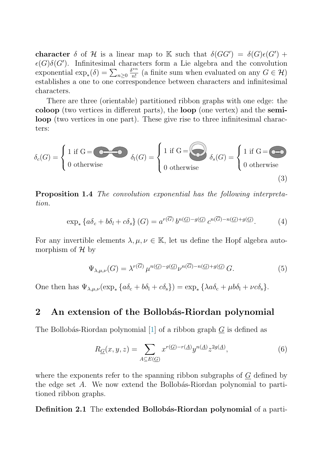<span id="page-4-0"></span>**character**  $\delta$  of H is a linear map to K such that  $\delta(GG') = \delta(G)\epsilon(G') +$  $\epsilon(G)\delta(G')$ . Infinitesimal characters form a Lie algebra and the convolution exponential  $\exp_*(\delta) = \sum_{n\geq 0} \frac{\delta^{*n}}{n!}$  (a finite sum when evaluated on any  $G \in \mathcal{H}$ ) establishes a one to one correspondence between characters and infinitesimal exponential  $\langle x \rangle_* (0) = \sum_{n \geq 0} \frac{n!}{n!}$  (a limite sum when evaluated on any  $\Theta \subset R$ ) establishes a one to one correspondence between characters and infinitesimal characters.

There are three (orientable) partitioned ribbon graphs with one edge: the **coloop** (two vertices in different parts), the **loop** (one vertex) and the **semiloop** (two vertices in one part). These give rise to three infinitesimal characters:

$$
\delta_c(G) = \begin{cases} 1 \text{ if } G = \bigodot \delta_l(G) = \begin{cases} 1 \text{ if } G = \bigodot \delta_s(G) = \begin{cases} 1 \text{ if } G = \bigodot \delta \end{cases} \\ 0 \text{ otherwise} \end{cases}
$$
\n
$$
\delta_l(G) = \begin{cases} 1 \text{ if } G = \bigodot \delta \end{cases}
$$
\n
$$
(3)
$$

**Proposition 1.4** The convolution exponential has the following interpretation.

$$
\exp_*\left\{a\delta_c+b\delta_l+c\delta_s\right\}(G)=a^{r(\overline{G})}b^{n(\underline{G})-g(\underline{G})}c^{n(\overline{G})-n(\underline{G})+g(\underline{G})}.
$$
 (4)

For any invertible elements  $\lambda, \mu, \nu \in \mathbb{K}$ , let us define the Hopf algebra automorphism of  $\mathcal{H}$  by

$$
\Psi_{\lambda,\mu,\nu}(G) = \lambda^{r(\overline{G})} \mu^{n(\underline{G}) - g(\underline{G})} \nu^{n(\overline{G}) - n(\underline{G}) + g(\underline{G})} G.
$$
\n(5)

One then has  $\Psi_{\lambda,\mu,\nu}(\exp_*\left\{a\delta_c+b\delta_l+c\delta_s\right\})=\exp_*\left\{\lambda a\delta_c+\mu b\delta_l+\nu c\delta_s\right\}.$ 

#### 2 An extension of the Bollobás-Riordan polynomial

The Bollobás-Riordan polynomial  $[1]$  of a ribbon graph G is defined as

$$
R_{\underline{G}}(x,y,z) = \sum_{A \subseteq E(\underline{G})} x^{r(\underline{G}) - r(\underline{A})} y^{n(\underline{A})} z^{2g(\underline{A})},\tag{6}
$$

where the exponents refer to the spanning ribbon subgraphs of  $G$  defined by the edge set  $A$ . We now extend the Bollobás-Riordan polynomial to partitioned ribbon graphs.

**Definition 2.1** The **extended Bollobás-Riordan polynomial** of a parti-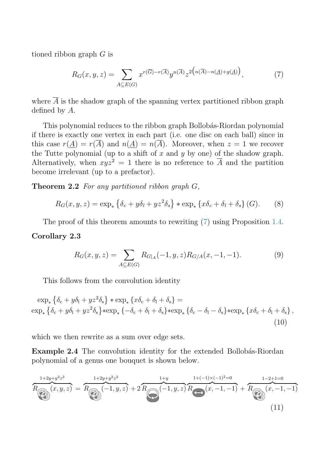tioned ribbon graph G is

$$
R_G(x, y, z) = \sum_{A \subseteq E(G)} x^{r(\overline{G}) - r(\overline{A})} y^{n(\overline{A})} z^{2\left(n(\overline{A}) - n(\underline{A}) + g(\underline{A})\right)},\tag{7}
$$

where  $\overline{A}$  is the shadow graph of the spanning vertex partitioned ribbon graph defined by A.

This polynomial reduces to the ribbon graph Bollobás-Riordan polynomial if there is exactly one vertex in each part (i.e. one disc on each ball) since in this case  $r(A) = r(\overline{A})$  and  $n(A) = n(\overline{A})$ . Moreover, when  $z = 1$  we recover the Tutte polynomial (up to a shift of x and y by one) of the shadow graph. Alternatively, when  $xyz^2 = 1$  there is no reference to  $\overline{A}$  and the partition become irrelevant (up to a prefactor).

**Theorem 2.2** For any partitioned ribbon graph G,

$$
R_G(x, y, z) = \exp_*\left\{\delta_c + y\delta_l + yz^2\delta_s\right\} * \exp_*\left\{x\delta_c + \delta_l + \delta_s\right\}(G). \tag{8}
$$

The proof of this theorem amounts to rewriting (7) using Proposition [1.4.](#page-4-0)

#### **Corollary 2.3**

$$
R_G(x, y, z) = \sum_{A \subseteq E(G)} R_{G|A}(-1, y, z) R_{G/A}(x, -1, -1).
$$
 (9)

This follows from the convolution identity

 $\exp_* \left\{ \delta_c + y \delta_l + y z^2 \delta_s \right\} * \exp_* \left\{ x \delta_c + \delta_l + \delta_s \right\} =$  $\exp_*\left\{\delta_c+y\delta_l+yz^2\delta_s\right\}*\exp_*\left\{-\delta_c+\delta_l+\delta_s\right\}*\exp_*\left\{\delta_c-\delta_l-\delta_s\right\}*\exp_*\left\{x\delta_c+\delta_l+\delta_s\right\},$ (10)

which we then rewrite as a sum over edge sets.

**Example 2.4** The convolution identity for the extended Bollobás-Riordan polynomial of a genus one bouquet is shown below.

$$
\overbrace{R_{\bigoplus}}^{1+2y+y^2z^2} \overbrace{(x,y,z)}^{1+2y+y^2z^2} = \overbrace{R_{\bigoplus}}^{1+2y+y^2z^2} (-1,y,z) + 2 \overbrace{R_{\bigoplus}}^{1+y} (-1,y,z) \overbrace{R_{\bigoplus}}^{1+(-1)\times(-1)^2=0} (x,-1,-1) + \overbrace{R_{\bigoplus}}^{1-2+1=0} (x,-1,-1)
$$
\n(11)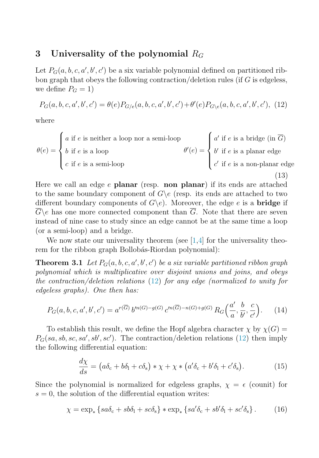### <span id="page-6-0"></span>**3** Universality of the polynomial  $R_G$

Let  $P_G(a, b, c, a', b', c')$  be a six variable polynomial defined on partitioned ribbon graph that obeys the following contraction/deletion rules (if G is edgeless, we define  $P_G = 1$ )

$$
P_G(a, b, c, a', b', c') = \theta(e) P_{G/e}(a, b, c, a', b', c') + \theta'(e) P_{G \backslash e}(a, b, c, a', b', c'), (12)
$$

where

$$
\theta(e) = \begin{cases} a \text{ if } e \text{ is neither a loop nor a semi-loop} \\ b \text{ if } e \text{ is a loop} \\ c \text{ if } e \text{ is a semi-loop} \end{cases}
$$

$$
\theta'(e) = \begin{cases} a' \text{ if } e \text{ is a bridge (in } \overline{G}) \\ b' \text{ if } e \text{ is a planar edge} \\ c' \text{ if } e \text{ is a non-planar edge} \end{cases}
$$

$$
(13)
$$

Here we call an edge e **planar** (resp. **non planar**) if its ends are attached to the same boundary component of  $G\backslash e$  (resp. its ends are attached to two different boundary components of  $G\backslash e$ . Moreover, the edge e is a **bridge** if  $\overline{G}\backslash e$  has one more connected component than  $\overline{G}$ . Note that there are seven instead of nine case to study since an edge cannot be at the same time a loop (or a semi-loop) and a bridge.

We now state our universality theorem (see  $[1,4]$  for the universality theorem for the ribbon graph Bollobás-Riordan polynomial):

**Theorem 3.1** Let  $P_G(a, b, c, a', b', c')$  be a six variable partitioned ribbon graph polynomial which is multiplicative over disjoint unions and joins, and obeys the contraction/deletion relations (12) for any edge (normalized to unity for edgeless graphs). One then has:

$$
P_G(a, b, c, a', b', c') = a^{r(\overline{G})} b'^{n(G)-g(G)} c'^{n(\overline{G})-n(G)+g(G)} R_G\left(\frac{a'}{a}, \frac{b}{b'}, \frac{c}{c'}\right).
$$
 (14)

To establish this result, we define the Hopf algebra character  $\chi$  by  $\chi(G)$  =  $P_G(sa, sb, sc, sa', sb', sc')$ . The contraction/deletion relations (12) then imply the following differential equation:

$$
\frac{d\chi}{ds} = \left(a\delta_c + b\delta_l + c\delta_s\right) * \chi + \chi * \left(a'\delta_c + b'\delta_l + c'\delta_s\right). \tag{15}
$$

Since the polynomial is normalized for edgeless graphs,  $\chi = \epsilon$  (counit) for  $s = 0$ , the solution of the differential equation writes:

$$
\chi = \exp_* \left\{ s a \delta_c + s b \delta_l + s c \delta_s \right\} * \exp_* \left\{ s a' \delta_c + s b' \delta_l + s c' \delta_s \right\}.
$$
 (16)